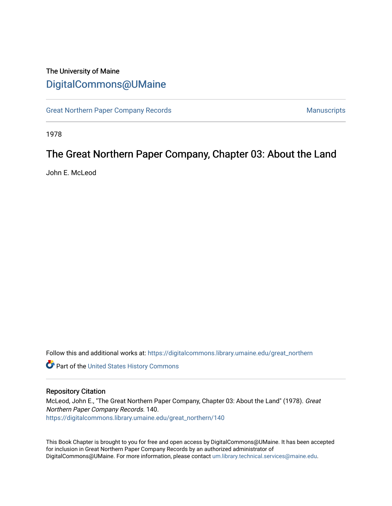## The University of Maine [DigitalCommons@UMaine](https://digitalcommons.library.umaine.edu/)

[Great Northern Paper Company Records](https://digitalcommons.library.umaine.edu/great_northern) **Manuscripts** Manuscripts

1978

# The Great Northern Paper Company, Chapter 03: About the Land

John E. McLeod

Follow this and additional works at: [https://digitalcommons.library.umaine.edu/great\\_northern](https://digitalcommons.library.umaine.edu/great_northern?utm_source=digitalcommons.library.umaine.edu%2Fgreat_northern%2F140&utm_medium=PDF&utm_campaign=PDFCoverPages) 

**Part of the United States History Commons** 

#### Repository Citation

McLeod, John E., "The Great Northern Paper Company, Chapter 03: About the Land" (1978). Great Northern Paper Company Records. 140. [https://digitalcommons.library.umaine.edu/great\\_northern/140](https://digitalcommons.library.umaine.edu/great_northern/140?utm_source=digitalcommons.library.umaine.edu%2Fgreat_northern%2F140&utm_medium=PDF&utm_campaign=PDFCoverPages) 

This Book Chapter is brought to you for free and open access by DigitalCommons@UMaine. It has been accepted for inclusion in Great Northern Paper Company Records by an authorized administrator of DigitalCommons@UMaine. For more information, please contact [um.library.technical.services@maine.edu](mailto:um.library.technical.services@maine.edu).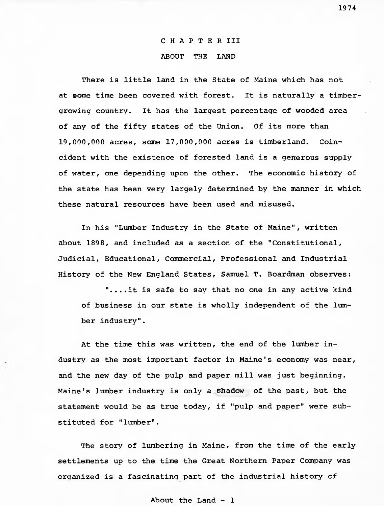## CHAPTER III ABOUT THE LAND

There is little land in the State of Maine which has not at some time been covered with forest. It is naturally a timbergrowing country. It has the largest percentage of wooded area of any of the fifty states of the Union. Of its more than 19,000,000 acres, some 17,000,000 acres is timberland. Coincident with the existence of forested land is a generous supply of water, one depending upon the other. The economic history of the state has been very largely determined by the manner in which these natural resources have been used and misused.

In his "Lumber Industry in the State of Maine", written about 1898, and included as a section of the "Constitutional, Judicial, Educational, Commercial, Professional and Industrial History of the New England States, Samuel T. Boardman observes:

"....it is safe to say that no one in any active kind of business in our state is wholly independent of the lumber industry".

At the time this was written, the end of the lumber industry as the most important factor in Maine's economy was near, and the new day of the pulp and paper mill was just beginning. Maine's lumber industry is only a shadow of the past, but the statement would be as true today, if "pulp and paper" were substituted for "lumber".

The story of lumbering in Maine, from the time of the early settlements up to the time the Great Northern Paper Company was organized is a fascinating part of the industrial history of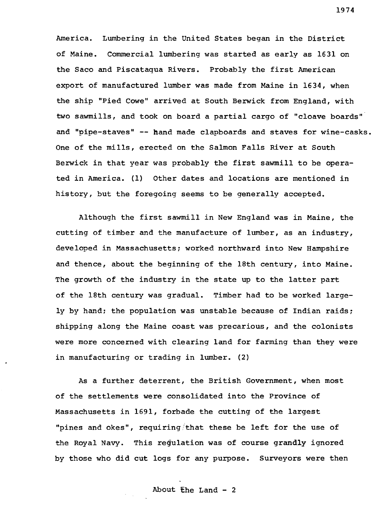America. Lumbering in the United States began in the District of Maine. Commercial lumbering was started as early as 1631 on the Saco and Piscataqua Rivers. Probably the first American export of manufactured lumber was made from Maine in 1634, when the ship "Pied Cowe" arrived at South Berwick from England, with two sawmills, and took on board a partial cargo of "cloave boards" and "pipe-staves" -- hand made clapboards and staves for wine-casks. One of the mills, erected on the Salmon Falls River at South Berwick in that year was probably the first sawmill to be operated in America. (1) Other dates and locations are mentioned in history, but the foregoing seems to be generally accepted.

Although the first sawmill in New England was in Maine, the cutting of timber and the manufacture of lumber, as an industry, developed in Massachusetts; worked northward into New Hampshire and thence, about the beginning of the 18th century, into Maine. The growth of the industry in the state up to the latter part of the 18th century was gradual. Timber had to be worked largely by hand; the population was unstable because of Indian raids; shipping along the Maine coast was precarious, and the colonists were more concerned with clearing land for farming than they were in manufacturing or trading in lumber. (2)

As a further deterrent, the British Government, when most of the settlements were consolidated into the Province of Massachusetts in 1691, forbade the cutting of the largest "pines and okes", requiring that these be left for the use of the Royal Navy. This regulation was of course grandly ignored by those who did cut logs for any purpose. Surveyors were then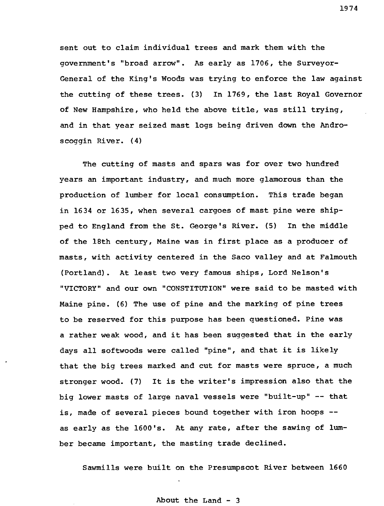sent out to claim individual trees and mark them with the government's "broad arrow". As early as 1706, the Surveyor-General of the King's Woods was trying to enforce the law against the cutting of these trees. (3) In 1769, the last Royal Governor of New Hampshire, who held the above title, was still trying, and in that year seized mast logs being driven down the Androscoggin River. (4)

The cutting of masts and spars was for over two hundred years an important industry, and much more glamorous than the production of lumber for local consumption. This trade began in 1634 or 1635, when several cargoes of mast pine were shipped to England from the St. George's River. (5) In the middle of the 18th century, Maine was in first place as a producer of masts, with activity centered in the Saco valley and at Falmouth (Portland). At least two very famous ships, Lord Nelson's "VICTORY" and our own "CONSTITUTION" were said to be masted with Maine pine. (6) The use of pine and the marking of pine trees to be reserved for this purpose has been questioned. Pine was a rather weak wood, and it has been suggested that in the early days all softwoods were called "pine", and that it is likely that the big trees marked and cut for masts were spruce, a much stronger wood. (7) It is the writer's impression also that the big lower masts of large naval vessels were "built-up" — that is, made of several pieces bound together with iron hoops as early as the 1600's. At any rate, after the sawing of lumber became important, the masting trade declined.

Sawmills were built on the Presumpscot River between 1660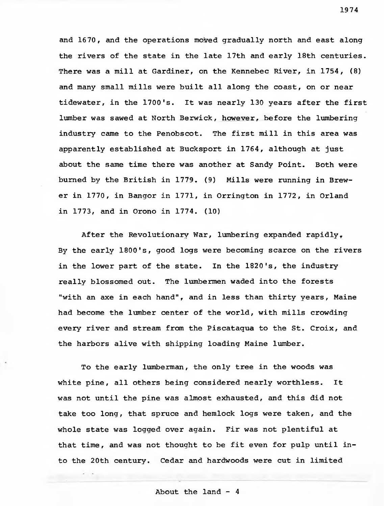and 1670, and the operations moved gradually north and east along the rivers of the state in the late 17th and early 18th centuries. There was a mill at Gardiner, on the Kennebec River, in 1754, (8) and many small mills were built all along the coast, on or near tidewater, in the 1700's. It was nearly 130 years after the first lumber was sawed at North Berwick, however, before the lumbering industry came to the Penobscot. The first mill in this area was apparently established at Bucksport in 1764, although at just about the same time there was another at Sandy Point. Both were burned by the British in 1779. (9) Mills were running in Brewer in 1770, in Bangor in 1771, in Orrington in 1772, in Orland in 1773, and in Orono in 1774. (10)

After the Revolutionary War, lumbering expanded rapidly, By the early 1800's, good logs were becoming scarce on the rivers in the lower part of the state. In the 1820's, the industry really blossomed out. The lumbermen waded into the forests "with an axe in each hand", and in less than thirty years, Maine had become the lumber center of the world, with mills crowding every river and stream from the Piscataqua to the St. Croix, and the harbors alive with shipping loading Maine lumber.

To the early lumberman, the only tree in the woods was white pine, all others being considered nearly worthless. It was not until the pine was almost exhausted, and this did not take too long, that spruce and hemlock logs were taken, and the whole state was logged over again. Fir was not plentiful at that time, and was not thought to be fit even for pulp until into the 20th century. Cedar and hardwoods were cut in limited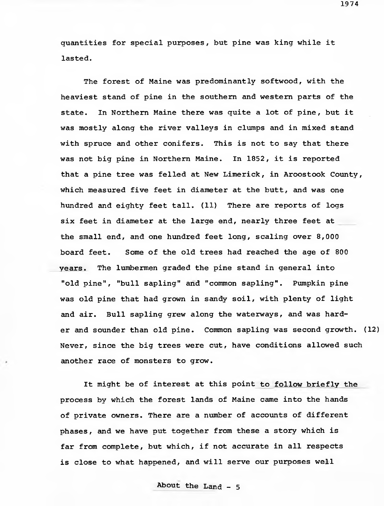quantities for special purposes, but pine was king while it lasted.

The forest of Maine was predominantly softwood, with the heaviest stand of pine in the southern and western parts of the state. In Northern Maine there was quite a lot of pine, but it was mostly along the river valleys in clumps and in mixed stand with spruce and other conifers. This is not to say that there was not big pine in Northern Maine. In 1852, it is reported that a pine tree was felled at New Limerick, in Aroostook County, which measured five feet in diameter at the butt, and was one hundred and eighty feet tall. (11) There are reports of logs six feet in diameter at the large end, nearly three feet at the small end, and one hundred feet long, scaling over 8,000 board feet. Some of the old trees had reached the age of 800 years. The lumbermen graded the pine stand in general into "old pine", "bull sapling" and "common sapling". Pumpkin pine was old pine that had grown in sandy soil, with plenty of light and air. Bull sapling grew along the waterways, and was harder and sounder than old pine. Common sapling was second growth. (12) Never, since the big trees were cut, have conditions allowed such another race of monsters to grow.

It might be of interest at this point to follow briefly the process by which the forest lands of Maine came into the hands of private owners. There are a number of accounts of different phases, and we have put together from these a story which is far from complete, but which, if not accurate in all respects is close to what happened, and will serve our purposes well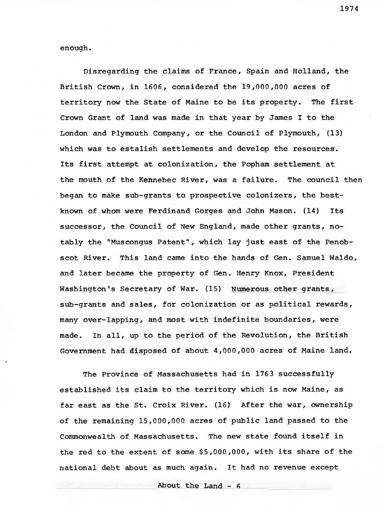enough.

Disregarding the claims of France, Spain and Holland, the British Crown, in 1606, considered the 19,000,000 acres of territory now the State of Maine to be its property. The first Crown Grant of land was made in that year by James I to the London and Plymouth Company, or the Council of Plymouth, (13) which was to estalish settlements and develop the resources. Its first attempt at colonization, the Popham settlement at the mouth of the Kennebec River, was a failure. The council then began to make sub-grants to prospective colonizers, the bestknown of whom were Ferdinand Gorges and John Mason. (14) Its successor, the Council of New England, made other grants, notably the "Muscongus Patent", which lay just east of the Penobscot River. This land came into the hands of Gen. Samuel Waldo, and later became the property of Gen. Henry Knox, President Washington's Secretary of War. (15) Numerous other grants, sub-grants and sales, for colonization or as political rewards, many over-lapping, and most with indefinite boundaries, were made. In all, up to the period of the Revolution, the British Government had disposed of about 4,000,000 acres of Maine land.

The Province of Massachusetts had in 1763 successfully established its claim to the territory which is now Maine, as far east as the St. Croix River. (16) After the war, ownership of the remaining 15,000,000 acres of public land passed to the Commonwealth of Massachusetts. The new state found itself in the red to the extent of some \$5,000,000, with its share of the national debt about as much again. It had no revenue except

About the Land - 6 \_\_\_\_\_\_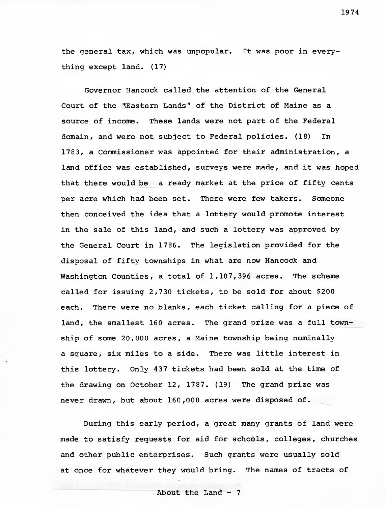the general tax, which was unpopular. It was poor in everything except land. (17)

Governor Hancock called the attention of the General Court of the "Eastern Lands" of the District of Maine as a source of income. These lands were not part of the Federal domain, and were not subject to Federal policies. (18) In 1783, a Commissioner was appointed for their administration, a land office was established, surveys were made, and it was hoped that there would be a ready market at the price of fifty cents per acre which had been set. There were few takers. Someone then conceived the idea that a lottery would promote interest in the sale of this land, and such a lottery was approved by the General Court in 1786. The legislation provided for the disposal of fifty townships in what are now Hancock and Washington Counties, a total of 1,107,396 acres. The scheme called for issuing 2,730 tickets, to be sold for about \$200 each. There were no blanks, each ticket calling for a piece of land, the smallest 160 acres. The grand prize was a full township of some 20,000 acres, a Maine township being nominally a square, six miles to a side. There was little interest in this lottery. Only 437 tickets had been sold at the time of the drawing on October 12, 1787. (19) The grand prize was never drawn, but about 160,000 acres were disposed of.

During this early period, a great many grants of land were made to satisfy requests for aid for schools, colleges, churches and other public enterprises. Such grants were usually sold at once for whatever they would bring. The names of tracts of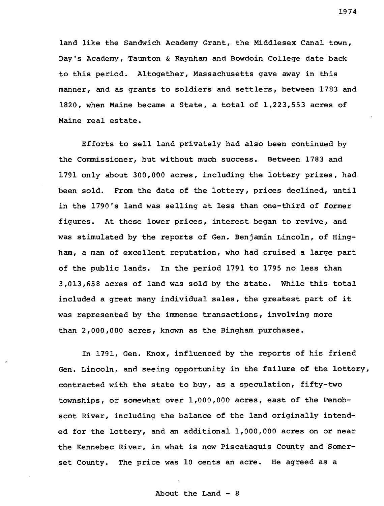land like the Sandwich Academy Grant, the Middlesex Canal town, Day'<sup>s</sup> Academy, Taunton & Raynham and Bowdoin College date back to this period. Altogether, Massachusetts gave away in this manner, and as grants to soldiers and settlers, between 1783 and 1820, when Maine became a State, a total of 1,223,553 acres of Maine real estate.

Efforts to sell land privately had also been continued by the Commissioner, but without much success. Between 1783 and 1791 only about 300,000 acres, including the lottery prizes, had been sold. From the date of the lottery, prices declined, until in the 1790's land was selling at less than one-third of former figures. At these lower prices, interest began to revive, and was stimulated by the reports of Gen. Benjamin Lincoln, of Hingham, a man of excellent reputation, who had cruised a large part of the public lands. In the period 1791 to 1795 no less than 3,013,658 acres of land was sold by the State. While this total included a great many individual sales, the greatest part of it was represented by the immense transactions, involving more than 2,000,000 acres, known as the Bingham purchases.

In 1791, Gen. Knox, influenced by the reports of his friend Gen. Lincoln, and seeing opportunity in the failure of the lottery, contracted with the state to buy, as a speculation, fifty-two townships, or somewhat over 1,000,000 acres, east of the Penobscot River, including the balance of the land originally intended for the lottery, and an additional 1,000,000 acres on or near the Kennebec River, in what is now Piscataquis County and Somerset County. The price was 10 cents an acre. He agreed as a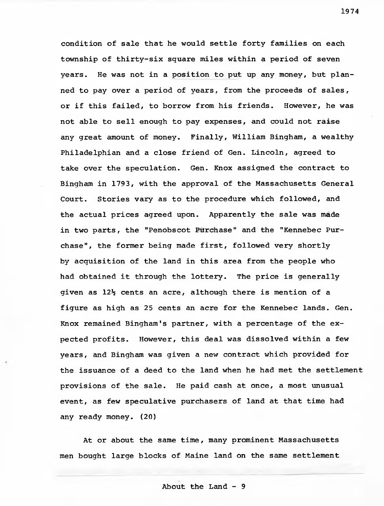condition of sale that he would settle forty families on each township of thirty-six square miles within a period of seven years. He was not in a position to put up any money, but planned to pay over a period of years, from the proceeds of sales, or if this failed, to borrow from his friends. However, he was not able to sell enough to pay expenses, and could not raise any great amount of money. Finally, William Bingham, a wealthy Philadelphian and a close friend of Gen. Lincoln, agreed to take over the speculation. Gen. Knox assigned the contract to Bingham in 1793, with the approval of the Massachusetts General Court. Stories vary as to the procedure which followed, and the actual prices agreed upon. Apparently the sale was made in two parts, the "Penobscot Purchase" and the "Kennebec Purchase", the former being made first, followed very shortly by acquisition of the land in this area from the people who had obtained it through the lottery. The price is generally given as  $12\frac{1}{2}$  cents an acre, although there is mention of a figure as high as 25 cents an acre for the Kennebec lands. Gen. Knox remained Bingham's partner, with a percentage of the expected profits. However, this deal was dissolved within a few years, and Bingham was given a new contract which provided for the issuance of a deed to the land when he had met the settlement provisions of the sale. He paid cash at once, a most unusual event, as few speculative purchasers of land at that time had any ready money. (20)

At or about the same time, many prominent Massachusetts men bought large blocks of Maine land on the same settlement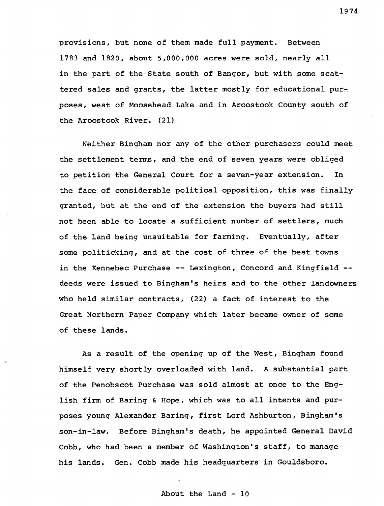provisions, but none of them made full payment. Between 1783 and 1820, about 5,000,000 acres were sold, nearly all in the part of the State south of Bangor, but with some scattered sales and grants, the latter mostly for educational purposes , west of Moosehead Lake and in Aroostook County south of the Aroostook River. (21)

Neither Bingham nor any of the other purchasers could meet the settlement terms, and the end of seven years were obliged to petition the General Court for a seven-year extension. In the face of considerable political opposition, this was finally granted, but at the end of the extension the buyers had still not been able to locate a sufficient number of settlers, much of the land being unsuitable for farming. Eventually, after some politicking, and at the cost of three of the best towns in the Kennebec Purchase -- Lexington, Concord and Kingfield -deeds were issued to Bingham's heirs and to the other landowners who held similar contracts, (22) a fact of interest to the Great Northern Paper Company which later became owner of some of these lands.

As a result of the opening up of the West, Bingham found himself very shortly overloaded with land. A substantial part of the Penobscot Purchase was sold almost at once to the English firm of Baring & Hope, which was to all intents and purposes young Alexander Baring, first Lord Ashburton, Bingham\*s son-in-law. Before Bingham's death, he appointed General David Cobb, who had been a member of Washington's staff, to manage his lands. Gen. Cobb made his headquarters in Gouldsboro.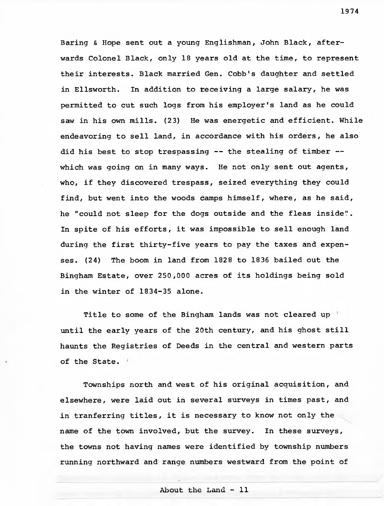Baring & Hope sent out a young Englishman, John Black, afterwards Colonel Black, only 18 years old at the time, to represent their interests. Black married Gen. Cobb's daughter and settled in Ellsworth. In addition to receiving a large salary, he was permitted to cut such logs from his employer's land as he could saw in his own mills. (23) He was energetic and efficient. While endeavoring to sell land, in accordance with his orders, he also did his best to stop trespassing — the stealing of timber which was going on in many ways. He not only sent out agents, who, if they discovered trespass, seized everything they could find, but went into the woods camps himself, where, as he said, he "could not sleep for the dogs outside and the fleas inside". In spite of his efforts, it was impossible to sell enough land during the first thirty-five years to pay the taxes and expenses. (24) The boom in land from 1828 to 1836 bailed out the Bingham Estate, over 250,000 acres of its holdings being sold in the winter of 1834-35 alone.

Title to some of the Bingham lands was not cleared up until the early years of the 20th century, and his ghost still haunts the Registries of Deeds in the central and western parts of the State.

Townships north and west of his original acquisition, and elsewhere, were laid out in several surveys in times past, and in tranferring titles, it is necessary to know not only the name of the town involved, but the survey. In these surveys, the towns not having names were identified by township numbers running northward and range numbers westward from the point of

1974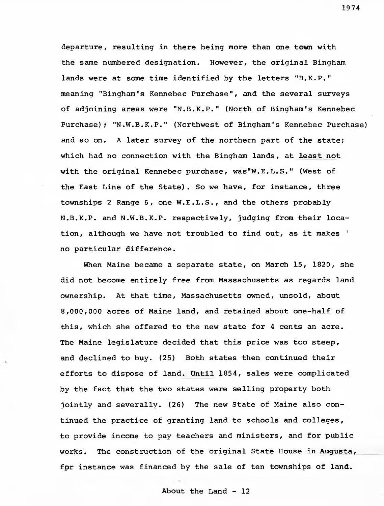departure, resulting in there being more than one town with the same numbered designation. However, the original Bingham lands were at some time identified by the letters "B.K.P." meaning "Bingham's Kennebec Purchase", and the several surveys of adjoining areas were "N.B.K.P." (North of Bingham's Kennebec Purchase); "N.W.B.K.P." (Northwest of Bingham's Kennebec Purchase) and so on. A later survey of the northern part of the state; which had no connection with the Bingham lands, at least not with the original Kennebec purchase, was"W.E.L.S." (West of the East Line of the State). So we have, for instance, three townships 2 Range 6, one W.E.L.S., and the others probably N.B.K.P. and N.W.B.K.P. respectively, judging from their location, although we have not troubled to find out, as it makes no particular difference.

When Maine became a separate state, on March 15, 1820, she did not become entirely free from Massachusetts as regards land ownership. At that time, Massachusetts owned, unsold, about 8,000,000 acres of Maine land, and retained about one-half of this, which she offered to the new state for <sup>4</sup> cents an acre. The Maine legislature decided that this price was too steep, and declined to buy. (25) Both states then continued their efforts to dispose of land. Until 1854, sales were complicated by the fact that the two states were selling property both jointly and severally. (26) The new State of Maine also continued the practice of granting land to schools and colleges, to provide income to pay teachers and ministers, and for public works. The construction of the original State House in Augusta, for instance was financed by the sale of ten townships of land.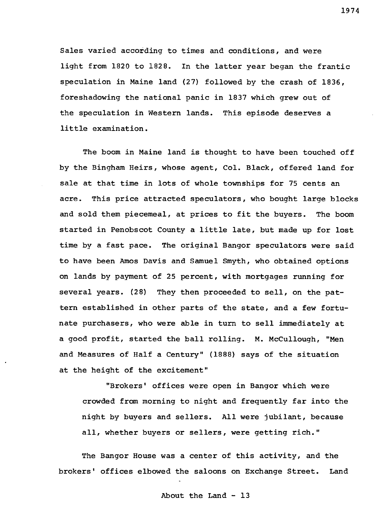Sales varied according to times and conditions, and were light from 1820 to 1828. In the latter year began the frantic speculation in Maine land (27) followed by the crash of 1836, foreshadowing the national panic in 1837 which grew out of the speculation in Western lands. This episode deserves a little examination.

The boom in Maine land is thought to have been touched off by the Bingham Heirs, whose agent, Col. Black, offered land for sale at that time in lots of whole townships for 75 cents an acre. This price attracted speculators, who bought large blocks and sold them piecemeal, at prices to fit the buyers. The boom started in Penobscot County a little late, but made up for lost time by a fast pace. The original Bangor speculators were said to have been Amos Davis and Samuel Smyth, who obtained options on lands by payment of 25 percent, with mortgages running for several years. (28) They then proceeded to sell, on the pattern established in other parts of the state, and a few fortunate purchasers, who were able in turn to sell immediately at a good profit, started the ball rolling. M. McCullough, "Men and Measures of Half a Century" (1888) says of the situation at the height of the excitement"

"Brokers' offices were open in Bangor which were crowded from morning to night and frequently far into the night by buyers and sellers. All were jubilant, because all, whether buyers or sellers, were getting rich."

The Bangor House was a center of this activity, and the brokers' offices elbowed the saloons on Exchange Street. Land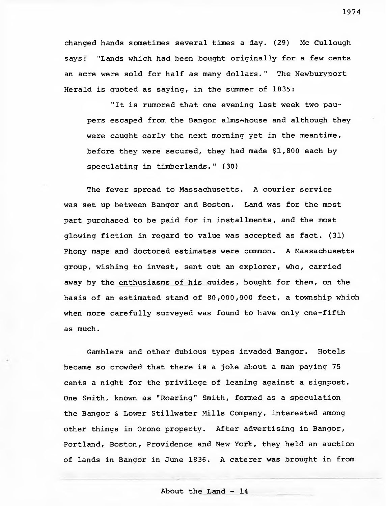changed hands sometimes several times a day. (29) Mc Cullough says: "Lands which had been bought originally for a few cents an acre were sold for half as many dollars." The Newburyport Herald is quoted as saying, in the summer of 1835:

"It is rumored that one evening last week two paupers escaped from the Bangor alms-house and although they were caught early the next morning yet in the meantime, before they were secured, they had made \$1,800 each by speculating in timberlands." (30)

The fever spread to Massachusetts. A courier service was set up between Bangor and Boston. Land was for the most part purchased to be paid for in installments, and the most glowing fiction in regard to value was accepted as fact. (31) Phony maps and doctored estimates were common. A Massachusetts group, wishing to invest, sent out an explorer, who, carried away by the enthusiasms of his guides, bought for them, on the basis of an estimated stand of 80,000,000 feet, a township which when more carefully surveyed was found to have only one-fifth as much.

Gamblers and other dubious types invaded Bangor. Hotels became so crowded that there is a joke about a man paying 75 cents a night for the privilege of leaning against a signpost. One Smith, known as "Roaring" Smith, formed as a speculation the Bangor & Lower Stillwater Mills Company, interested among other things in Orono property. After advertising in Bangor, Portland, Boston, Providence and New York, they held an auction of lands in Bangor in June 1836. A caterer was brought in from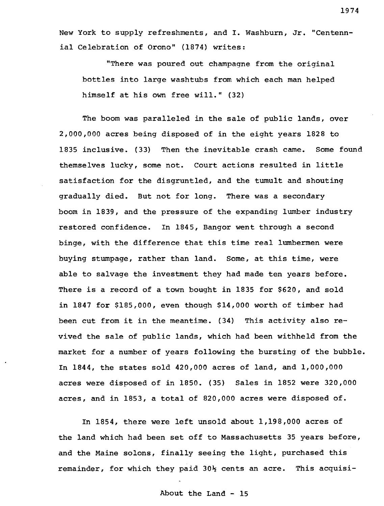New York to supply refreshments, and I. Washburn, Jr. "Centennial Celebration of Orono" (1874) writes:

"There was poured out champagne from the original bottles into large washtubs from which each man helped himself at his own free will." (32)

The boom was paralleled in the sale of public lands, over 2,000,000 acres being disposed of in the eight years 1828 to 1835 inclusive. (33) Then the inevitable crash came. Some found themselves lucky, some not. Court actions resulted in little satisfaction for the disgruntled, and the tumult and shouting gradually died. But not for long. There was a secondary boom in 1839, and the pressure of the expanding lumber industry restored confidence. In 1845, Bangor went through a second binge, with the difference that this time real lumbermen were buying stumpage, rather than land. Some, at this time, were able to salvage the investment they had made ten years before. There is a record of a town bought in 1835 for \$620, and sold in 1847 for \$185,000, even though \$14,000 worth of timber had been cut from it in the meantime. (34) This activity also revived the sale of public lands, which had been withheld from the market for a number of years following the bursting of the bubble. In 1844, the states sold 420,000 acres of land, and 1,000,000 acres were disposed of in 1850. (35) Sales in 1852 were 320,000 acres, and in 1853, a total of 820,000 acres were disposed of.

In 1854, there were left unsold about 1,198,000 acres of the land which had been set off to Massachusetts 35 years before, and the Maine solons, finally seeing the light, purchased this remainder, for which they paid  $30\frac{1}{2}$  cents an acre. This acquisi-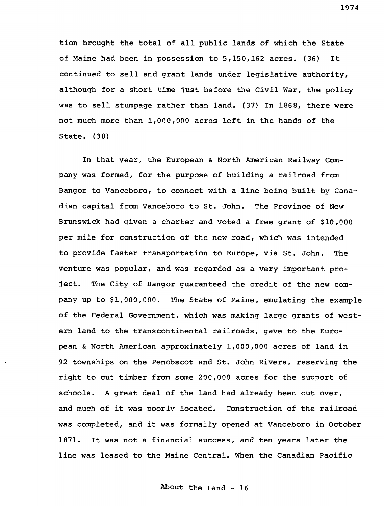tion brought the total of all public lands of which the State of Maine had been in possession to 5,150,162 acres. (36) It continued to sell and grant lands under legislative authority, although for a short time just before the Civil War, the policy was to sell stumpage rather than land. (37) In 1868, there were not much more than 1,000,000 acres left in the hands of the State. (38)

In that year, the European & North American Railway Company was formed, for the purpose of building a railroad from Bangor to Vanceboro, to connect with a line being built by Canadian capital from Vanceboro to St. John. The Province of New Brunswick had given a charter and voted a free grant of \$10,000 per mile for construction of the new road, which was intended to provide faster transportation to Europe, via St. John. The venture was popular, and was regarded as a very important project. The City of Bangor guaranteed the credit of the new company up to \$1,000,000. The State of Maine, emulating the example of the Federal Government, which was making large grants of western land to the transcontinental railroads, gave to the European & North American approximately 1,000,000 acres of land in 92 townships on the Penobscot and St. John Rivers, reserving the right to cut timber from some 200,000 acres for the support of schools. A great deal of the land had already been cut over, and much of it was poorly located. Construction of the railroad was completed, and it was formally opened at Vanceboro in October 1871. It was not a financial success, and ten years later the line was leased to the Maine Central. When the Canadian Pacific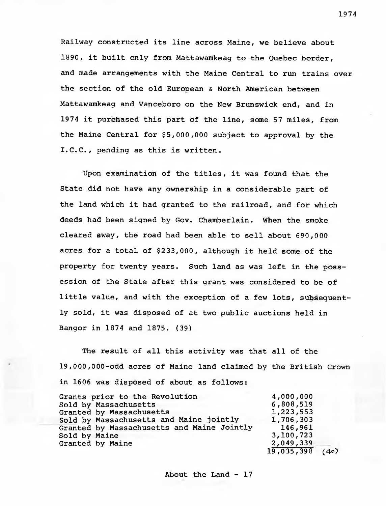Railway constructed its line across Maine, we believe about 1890, it built only from Mattawamkeag to the Quebec border, and made arrangements with the Maine Central to run trains over the section of the old European & North American between Mattawamkeag and Vanceboro on the New Brunswick end, and in 1974 it purchased this part of the line, some 57 miles, from the Maine Central for \$5,000,000 subject to approval by the I.C.C., pending as this is written.

Upon examination of the titles, it was found that the State did not have any ownership in a considerable part of the land which it had granted to the railroad, and for which deeds had been signed by Gov. Chamberlain. When the smoke cleared away, the road had been able to sell about 690,000 acres for a total of \$233,000, although it held some of the property for twenty years. Such land as was left in the possession of the State after this grant was considered to be of little value, and with the exception of a few lots, subsequently sold, it was disposed of at two public auctions held in Bangor in 1874 and 1875. (39)

The result of all this activity was that all of the 19,000,000-odd acres of Maine land claimed by the British Crown in 1606 was disposed of about as follows:

| Grants prior to the Revolution             | 4,000,000         |  |
|--------------------------------------------|-------------------|--|
| Sold by Massachusetts                      | 6,808,519         |  |
| Granted by Massachusetts                   | 1,223,553         |  |
| Sold by Massachusetts and Maine jointly    | 1,706,303         |  |
| Granted by Massachusetts and Maine Jointly | 146,961           |  |
| Sold by Maine                              | 3,100,723         |  |
| Granted by Maine                           | 2,049,339         |  |
|                                            | $19,035,398$ (40) |  |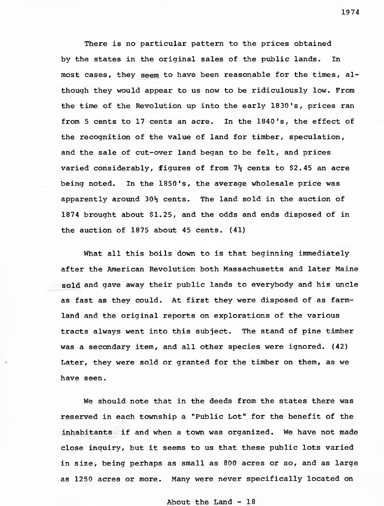There is no particular pattern to the prices obtained by the states in the original sales of the public lands. In most cases, they seem to have been reasonable for the times, although they would appear to us now to be ridiculously low. From the time of the Revolution up into the early 1830's, prices ran from 5 cents to 17 cents an acre. In the 1840's, the effect of the recognition of the value of land for timber, speculation, and the sale of cut-over land began to be felt, and prices varied considerably, figures of from  $7\frac{1}{2}$  cents to \$2.45 an acre being noted. In the 1850's, the average wholesale price was apparently around  $30\frac{1}{2}$  cents. The land sold in the auction of 1874 brought about \$1.25, and the odds and ends disposed of in the auction of 1875 about 45 cents. (41)

What all this boils down to is that beginning immediately after the American Revolution both Massachusetts and later Maine sold and gave away their public lands to everybody and his uncle as fast as they could. At first they were disposed of as farmland and the original reports on explorations of the various tracts always went into this subject. The stand of pine timber was a secondary item, and all other species were ignored. (42) Later, they were sold or granted for the timber on them, as we have seen.

We should note that in the deeds from the states there was reserved in each township a "Public Lot" for the benefit of the inhabitants if and when a town was organized. We have not made close inquiry, but it seems to us that these public lots varied in size, being perhaps as small as 800 acres or so, and as large as 1250 acres or more. Many were never specifically located on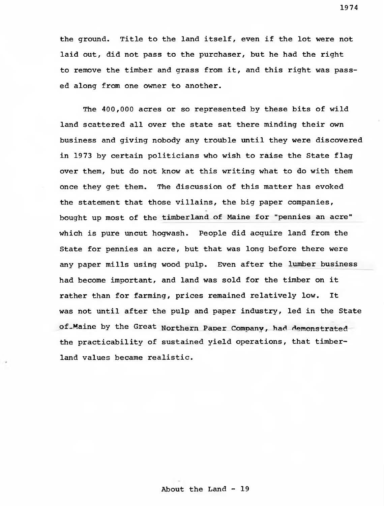the ground. Title to the land itself, even if the lot were not laid out, did not pass to the purchaser, but he had the right to remove the timber and grass from it, and this right was passed along from one owner to another.

The 400,000 acres or so represented by these bits of wild land scattered all over the state sat there minding their own business and giving nobody any trouble until they were discovered in 1973 by certain politicians who wish to raise the State flag over them, but do not know at this writing what to do with them once they get them. The discussion of this matter has evoked the statement that those villains, the big paper companies, bought up most of the timberland of Maine for "pennies an acre" which is pure uncut hogwash. People did acquire land from the State for pennies an acre, but that was long before there were any paper mills using wood pulp. Even after the lumber business had become important, and land was sold for the timber on it rather than for farming, prices remained relatively low. It was not until after the pulp and paper industry, led in the State of Maine by the Great Northern Paper Company, had demonstrated the practicability of sustained yield operations, that timberland values became realistic.

1974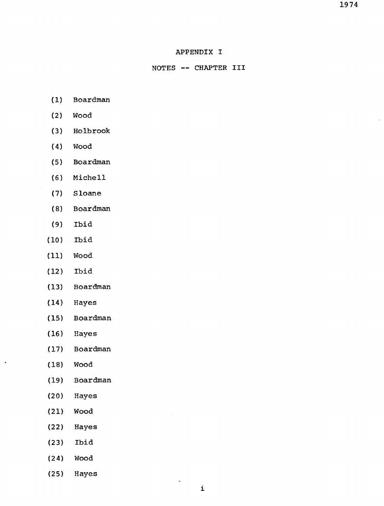### APPENDIX I

### NOTES -- CHAPTER III

- (1) Boardman
- (2) Wood
- (3) Holbrook
- (4) Wood
- (5) Boardman
- (6) Michell
- (7) Sloane
- (8) Boardman
- (9) Ibid
- (10) Ibid
- (11) Wood
- (12) Ibid
- (13) Boardman
- (14) Hayes
- (15) Boardman
- (16) Hayes
- (17) Boardman
- (18) Wood

 $\cdot$ 

- (19) Boardman
- (20) Hayes
- (21) Wood
- (22) Hayes
- (23) Ibid
- (24) Wood
- (25) Hayes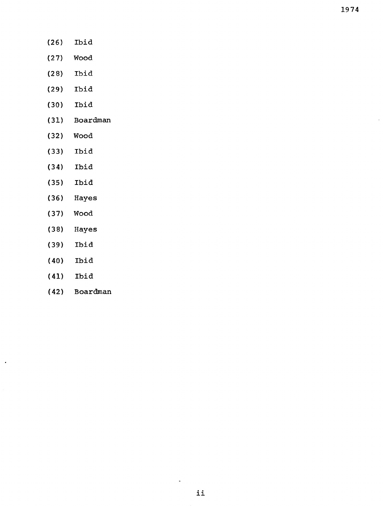- (26) (27) (28) (29) (30) (31) (32) (33) (34) (35) (36) (37) Ibid Wood Ibid Ibid Ibid Boardman Wood Ibid Ibid Ibid Hayes Wood
- (38) Hayes
- (39) Ibid
- (40) Ibid
- (41) Ibid

 $\ddot{\phantom{0}}$ 

(42) Boardman